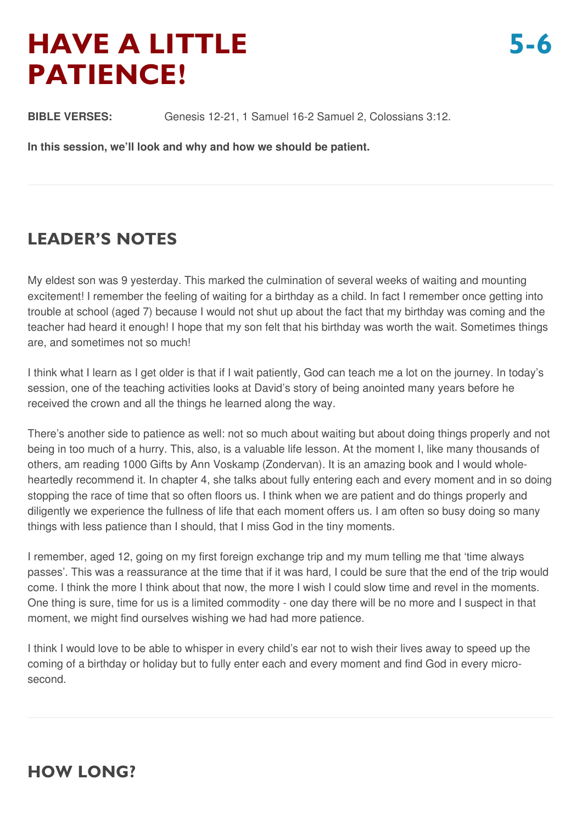# **HAVE A LITTLE PATIENCE!**

**BIBLE VERSES:** Genesis 12-21, 1 Samuel 16-2 Samuel 2, Colossians 3:12.

**In this session, we'll look and why and how we should be patient.**

# **LEADER'S NOTES**

My eldest son was 9 yesterday. This marked the culmination of several weeks of waiting and mounting excitement! I remember the feeling of waiting for a birthday as a child. In fact I remember once getting into trouble at school (aged 7) because I would not shut up about the fact that my birthday was coming and the teacher had heard it enough! I hope that my son felt that his birthday was worth the wait. Sometimes things are, and sometimes not so much!

I think what I learn as I get older is that if I wait patiently, God can teach me a lot on the journey. In today's session, one of the teaching activities looks at David's story of being anointed many years before he received the crown and all the things he learned along the way.

There's another side to patience as well: not so much about waiting but about doing things properly and not being in too much of a hurry. This, also, is a valuable life lesson. At the moment I, like many thousands of others, am reading 1000 Gifts by Ann Voskamp (Zondervan). It is an amazing book and I would wholeheartedly recommend it. In chapter 4, she talks about fully entering each and every moment and in so doing stopping the race of time that so often floors us. I think when we are patient and do things properly and diligently we experience the fullness of life that each moment offers us. I am often so busy doing so many things with less patience than I should, that I miss God in the tiny moments.

I remember, aged 12, going on my first foreign exchange trip and my mum telling me that 'time always passes'. This was a reassurance at the time that if it was hard, I could be sure that the end of the trip would come. I think the more I think about that now, the more I wish I could slow time and revel in the moments. One thing is sure, time for us is a limited commodity - one day there will be no more and I suspect in that moment, we might find ourselves wishing we had had more patience.

I think I would love to be able to whisper in every child's ear not to wish their lives away to speed up the coming of a birthday or holiday but to fully enter each and every moment and find God in every microsecond.

# **HOW LONG?**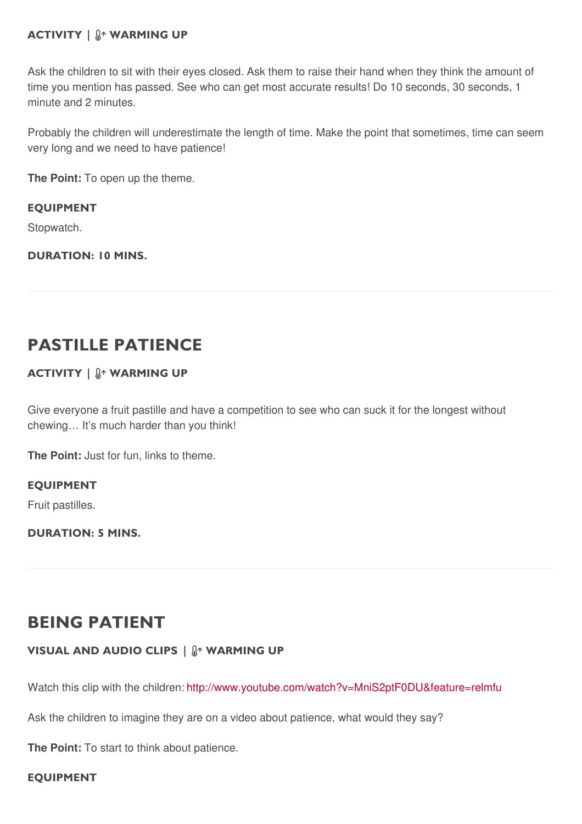### **ACTIVITY | WARMING UP**

Ask the children to sit with their eyes closed. Ask them to raise their hand when they think the amount of time you mention has passed. See who can get most accurate results! Do 10 seconds, 30 seconds, 1 minute and 2 minutes.

Probably the children will underestimate the length of time. Make the point that sometimes, time can seem very long and we need to have patience!

**The Point:** To open up the theme.

**EQUIPMENT** Stopwatch.

**DURATION: 10 MINS.**

# **PASTILLE PATIENCE**

### **ACTIVITY | WARMING UP**

Give everyone a fruit pastille and have a competition to see who can suck it for the longest without chewing… It's much harder than you think!

**The Point:** Just for fun, links to theme.

**EQUIPMENT**

Fruit pastilles.

**DURATION: 5 MINS.**

# **BEING PATIENT**

#### **VISUAL AND AUDIO CLIPS | WARMING UP**

Watch this clip with the children: <http://www.youtube.com/watch?v=MniS2ptF0DU&feature=relmfu>

Ask the children to imagine they are on a video about patience, what would they say?

**The Point:** To start to think about patience.

#### **EQUIPMENT**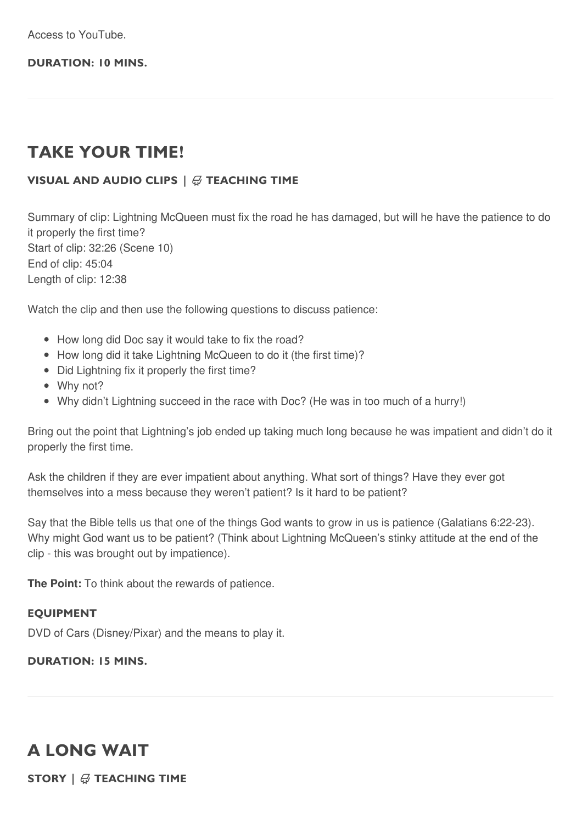Access to YouTube.

#### **DURATION: 10 MINS.**

# **TAKE YOUR TIME!**

### **VISUAL AND AUDIO CLIPS |** - **TEACHING TIME**

Summary of clip: Lightning McQueen must fix the road he has damaged, but will he have the patience to do it properly the first time? Start of clip: 32:26 (Scene 10) End of clip: 45:04 Length of clip: 12:38

Watch the clip and then use the following questions to discuss patience:

- How long did Doc say it would take to fix the road?
- How long did it take Lightning McQueen to do it (the first time)?
- Did Lightning fix it properly the first time?
- Why not?
- Why didn't Lightning succeed in the race with Doc? (He was in too much of a hurry!)

Bring out the point that Lightning's job ended up taking much long because he was impatient and didn't do it properly the first time.

Ask the children if they are ever impatient about anything. What sort of things? Have they ever got themselves into a mess because they weren't patient? Is it hard to be patient?

Say that the Bible tells us that one of the things God wants to grow in us is patience (Galatians 6:22-23). Why might God want us to be patient? (Think about Lightning McQueen's stinky attitude at the end of the clip - this was brought out by impatience).

**The Point:** To think about the rewards of patience.

#### **EQUIPMENT**

DVD of Cars (Disney/Pixar) and the means to play it.

#### **DURATION: 15 MINS.**

# **A LONG WAIT**

 $\textsf{STORY} \mid \text{\textregistered}$  TEACHING TIME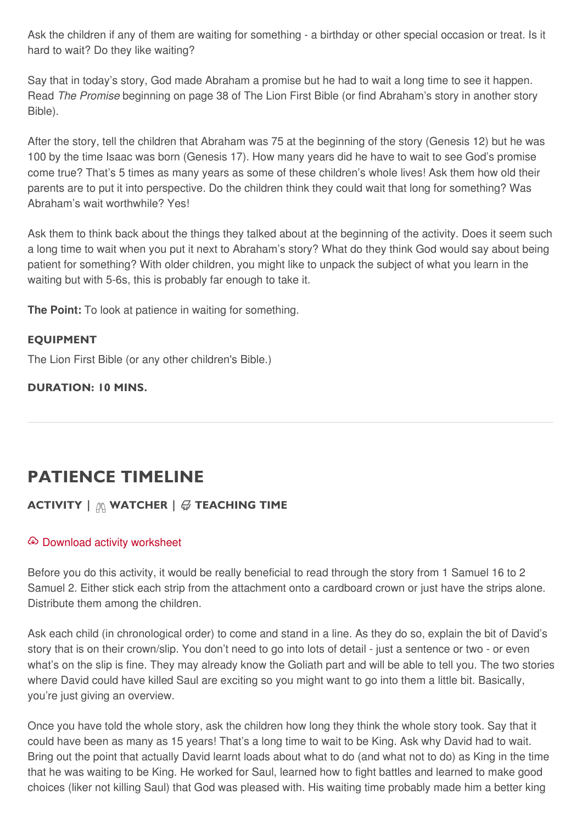Ask the children if any of them are waiting for something - a birthday or other special occasion or treat. Is it hard to wait? Do they like waiting?

Say that in today's story, God made Abraham a promise but he had to wait a long time to see it happen. Read *The Promise* beginning on page 38 of The Lion First Bible (or find Abraham's story in another story Bible).

After the story, tell the children that Abraham was 75 at the beginning of the story (Genesis 12) but he was 100 by the time Isaac was born (Genesis 17). How many years did he have to wait to see God's promise come true? That's 5 times as many years as some of these children's whole lives! Ask them how old their parents are to put it into perspective. Do the children think they could wait that long for something? Was Abraham's wait worthwhile? Yes!

Ask them to think back about the things they talked about at the beginning of the activity. Does it seem such a long time to wait when you put it next to Abraham's story? What do they think God would say about being patient for something? With older children, you might like to unpack the subject of what you learn in the waiting but with 5-6s, this is probably far enough to take it.

**The Point:** To look at patience in waiting for something.

#### **EQUIPMENT**

The Lion First Bible (or any other children's Bible.)

**DURATION: 10 MINS.**

# **PATIENCE TIMELINE**

### $\textbf{ACTIVITY} \mid \textcolor{red}{\textcircled{H}}$  WATCHER  $\mid \textcolor{red}{\textcircled{H}}$  TEACHING TIME

#### Download activity [worksheet](file:///downloads/5-6CCh05PatienceTimeline.pdf)

Before you do this activity, it would be really beneficial to read through the story from 1 Samuel 16 to 2 Samuel 2. Either stick each strip from the attachment onto a cardboard crown or just have the strips alone. Distribute them among the children.

Ask each child (in chronological order) to come and stand in a line. As they do so, explain the bit of David's story that is on their crown/slip. You don't need to go into lots of detail - just a sentence or two - or even what's on the slip is fine. They may already know the Goliath part and will be able to tell you. The two stories where David could have killed Saul are exciting so you might want to go into them a little bit. Basically, you're just giving an overview.

Once you have told the whole story, ask the children how long they think the whole story took. Say that it could have been as many as 15 years! That's a long time to wait to be King. Ask why David had to wait. Bring out the point that actually David learnt loads about what to do (and what not to do) as King in the time that he was waiting to be King. He worked for Saul, learned how to fight battles and learned to make good choices (liker not killing Saul) that God was pleased with. His waiting time probably made him a better king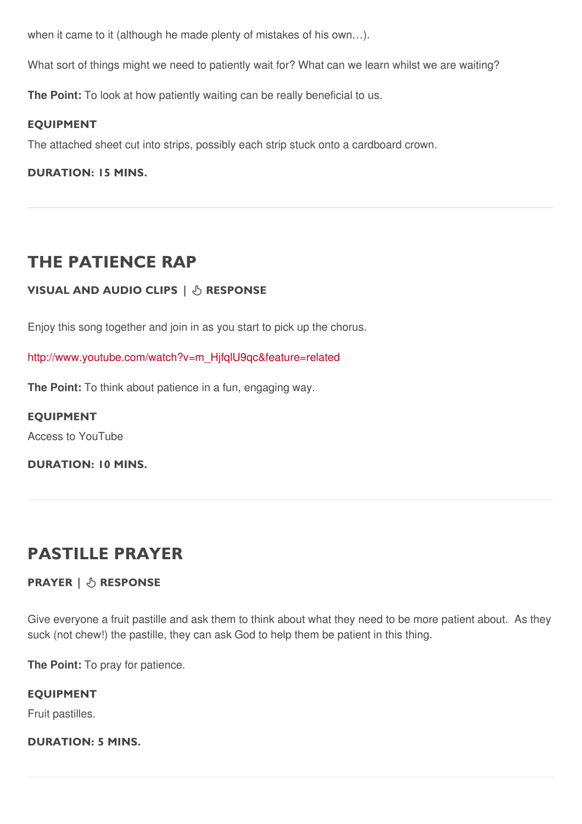when it came to it (although he made plenty of mistakes of his own…).

What sort of things might we need to patiently wait for? What can we learn whilst we are waiting?

**The Point:** To look at how patiently waiting can be really beneficial to us.

#### **EQUIPMENT**

The attached sheet cut into strips, possibly each strip stuck onto a cardboard crown.

**DURATION: 15 MINS.**

# **THE PATIENCE RAP**

#### **VISUAL AND AUDIO CLIPS | RESPONSE**

Enjoy this song together and join in as you start to pick up the chorus.

[http://www.youtube.com/watch?v=m\\_HjfqlU9qc&feature=related](http://www.youtube.com/watch?v=m_HjfqlU9qc&feature=related)

**The Point:** To think about patience in a fun, engaging way.

#### **EQUIPMENT**

Access to YouTube

**DURATION: 10 MINS.**

# **PASTILLE PRAYER**

#### **PRAYER | RESPONSE**

Give everyone a fruit pastille and ask them to think about what they need to be more patient about. As they suck (not chew!) the pastille, they can ask God to help them be patient in this thing.

**The Point:** To pray for patience.

#### **EQUIPMENT**

Fruit pastilles.

#### **DURATION: 5 MINS.**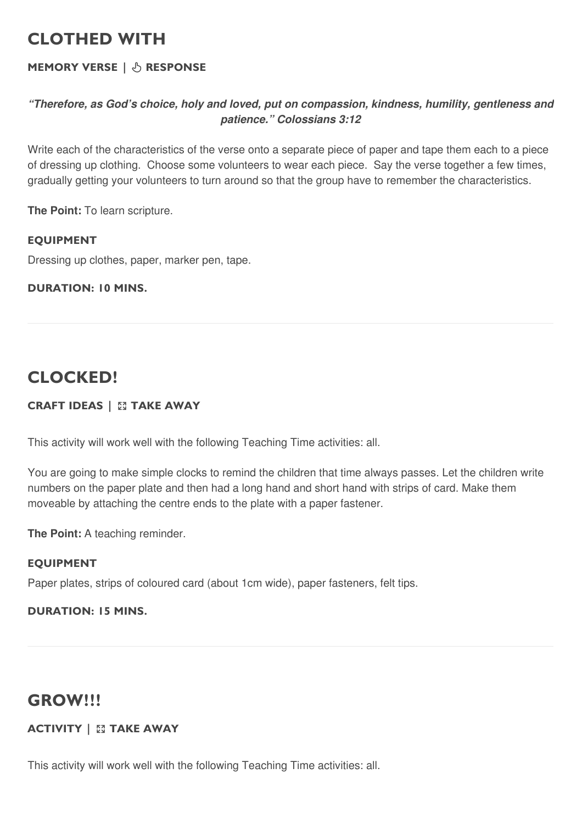# **CLOTHED WITH**

### **MEMORY VERSE** |  $\circledcirc$  RESPONSE

### *"Therefore, as God's choice, holy and loved, put on compassion, kindness, humility, gentleness and patience." Colossians 3:12*

Write each of the characteristics of the verse onto a separate piece of paper and tape them each to a piece of dressing up clothing. Choose some volunteers to wear each piece. Say the verse together a few times, gradually getting your volunteers to turn around so that the group have to remember the characteristics.

**The Point:** To learn scripture.

### **EQUIPMENT**

Dressing up clothes, paper, marker pen, tape.

### **DURATION: 10 MINS.**

# **CLOCKED!**

### **CRAFT IDEAS | TAKE AWAY**

This activity will work well with the following Teaching Time activities: all.

You are going to make simple clocks to remind the children that time always passes. Let the children write numbers on the paper plate and then had a long hand and short hand with strips of card. Make them moveable by attaching the centre ends to the plate with a paper fastener.

**The Point:** A teaching reminder.

### **EQUIPMENT**

Paper plates, strips of coloured card (about 1cm wide), paper fasteners, felt tips.

### **DURATION: 15 MINS.**

# **GROW!!!**

### **ACTIVITY | TAKE AWAY**

This activity will work well with the following Teaching Time activities: all.